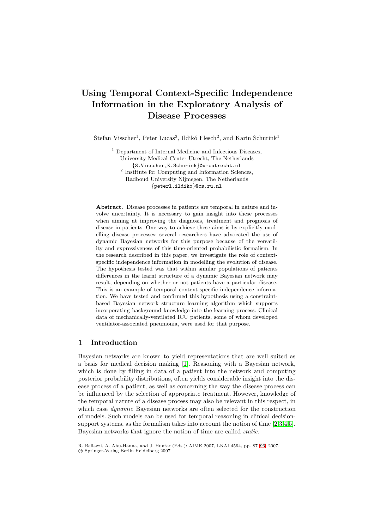# **Using Temporal Context-Specific Independence Information in the Exploratory Analysis of Disease Processes**

Stefan Visscher<sup>1</sup>, Peter Lucas<sup>2</sup>, Ildikó Flesch<sup>2</sup>, and Karin Schurink<sup>1</sup>

<sup>1</sup> Department of Internal Medicine and Infectious Diseases, University Medical Center Utrecht, The Netherlands {S.Visscher,K.Schurink}@umcutrecht.nl <sup>2</sup> Institute for Computing and Information Sciences, Radboud University Nijmegen, The Netherlands {peterl,ildiko}@cs.ru.nl

**Abstract.** Disease processes in patients are temporal in nature and involve uncertainty. It is necessary to gain insight into these processes when aiming at improving the diagnosis, treatment and prognosis of disease in patients. One way to achieve these aims is by explicitly modelling disease processes; several researchers have advocated the use of dynamic Bayesian networks for this purpose because of the versatility and expressiveness of this time-oriented probabilistic formalism. In the research described in this paper, we investigate the role of contextspecific independence information in modelling the evolution of disease. The hypothesis tested was that within similar populations of patients differences in the learnt structure of a dynamic Bayesian network may result, depending on whether or not patients have a particular disease. This is an example of temporal context-specific independence information. We have tested and confirmed this hypothesis using a constraintbased Bayesian network structure learning algorithm which supports incorporating background knowledge into the learning process. Clinical data of mechanically-ventilated ICU patients, some of whom developed ventilator-associated pneumonia, were used for that purpose.

## **1 Introduction**

Bayesian networks are known to yield representations that are well suited as a basis for medical decision making [1]. Reasoning with a Bayesian network, which is done by filling in data of a patient into the network and computing posterior probability distributions, often yields considerable insight into the disease process of a patient, as well as concerning the way the disease process can be influenced by the selection of appr[op](#page-9-0)riate treatment. However, knowledge of the temporal nature of a disease process may also be relevant in this respect, in which case *dynamic* Bayesian networks are often selected for the construction of models. Such models can be used for temporal reasoning in clinical decisionsupport systems, as the formalism takes into account the notion of time [2,3,4,5]. Bayesian networks that ignore the notion of time are called *static*.

R. Bellazzi, A. Abu-Hanna, and J. Hunter (Eds.): AIME 2007, LNAI 4594, pp. 87–96, 2007.

<sup>-</sup>c Springer-Verlag Berlin Heidelberg 2007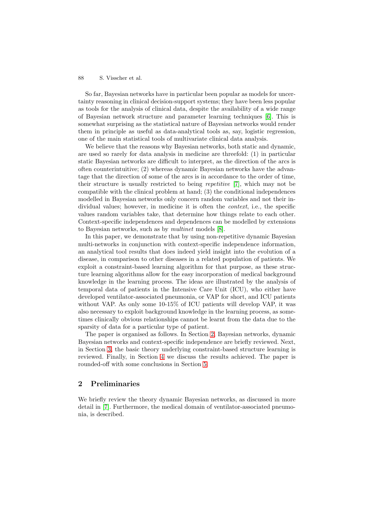So far, Bayesian networks have in particular been popular as models for uncertainty reasoning in clinical decision-support systems; they have been less popular as tools for the analysis of clinical data, despite the availability of a wide range of Bayesian network structure and parameter learning techniques [6]. This is somewhat surprising as the statistical nature of Bayesian networks would render them in principle as useful as data-analytical tools as, say, logistic regression, one of the main statistical tools of multivariate clinical data analysis.

We believe that the reasons why Bayesian networks, both static an[d](#page-9-1) dynamic, are used so rarely for data analysis in medicine are threefold: (1) in particular static Bayesian networks are difficult to interpret, as the direction of the arcs is often counterintuitive; (2) whereas dynamic Bayesian networks have the advantage that the direction of some of the arcs is in accordance to the order of time, their structure is usually restricted to being repetitive [7], which may not be compatible with the clinical problem at hand; (3) the conditional independences modelled in Bayesian networks only concern random variables and not their individual values; however, in medicine it is often the context, i.e., the specific values random variables take, that determine how thing[s](#page-9-2) relate to each other. Context-specific independences and dependences can be modelled by extensions to Bayesian networks, such as by multinet models [8].

In this paper, we demonstrate that by using non-repetitive dynamic Bayesian multi-networks in conjunction with context-specific independence information, an analytical tool results that does indeed yield insight into the evolution of a disease, in comparison to other diseases in a relate[d p](#page-9-3)opulation of patients. We exploit a constraint-based learning algorithm for that purpose, as these structure learning algorithms allow for the easy incorporation of medical background knowledge in the learning process. The ideas are illustrated by the analysis of temporal data of patients in the Intensive Care Unit (ICU), who either have developed ventilator-associated pneumonia, or VAP for short, and ICU patients without VAP. As only some 10-15% of ICU patients will develop VAP, it was also necessary to exploit background knowledge in the learning process, as sometimes clinically obvious relationships cannot be learnt from the data due to the sparsity of data for a particular type of patient.

The paper is organised as follows. In Section 2, Bayesian networks, dynamic Bayesian networks and context-specific independence are briefly reviewed. Next, in Section 3, the basic theory underlying constraint-based structure learning is reviewed. Finally, in Section 4 we discuss the results achieved. The paper is rounded-off with some conclusions in Section 5.

# **2 Prel[im](#page-4-0)inaries**

We briefly review the theory dynamic Bayesi[an](#page-8-0) networks, as discussed in more detail in [7]. Furthermore, the medical domain of ventilator-associated pneumonia, is described.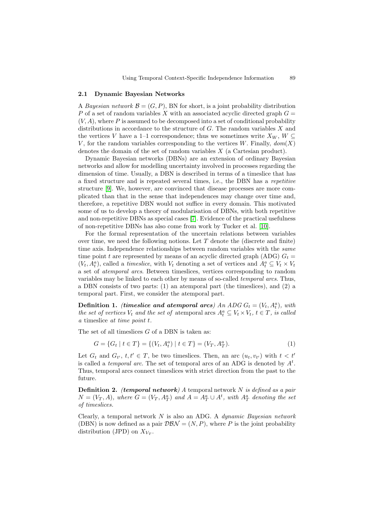#### **2.1 Dynamic Bayesian Networks**

A Bayesian network  $\mathcal{B} = (G, P)$ , BN for short, is a joint probability distribution P of a set of random variables X with an associated acyclic directed graph  $G =$  $(V, A)$ , where P is assumed to be decomposed into a set of conditional probability distributions in accordance to the structure of  $G$ . The random variables  $X$  and the vertices V have a 1–1 correspondence; thus we sometimes write  $X_W$ ,  $W \subseteq$ V, for the random variables corresponding to the vertices W. Finally,  $dom(X)$ denotes the domain of the set of random variables X (a Cartesian product).

Dynamic Bayesian networks (DBNs) are an extension of ordinary Bayesian networks and allow for modelling uncertainty involved in processes regarding the dimension of time. Usually, a DBN is described in terms of a timeslice that has a fixed structure and is repeated several times, i.e., the DBN has a repetitive structure [9]. We, however, are convinced that disease processes are more complicated than that in the sense that independences may change over time and, therefore, a repetitive DBN would not suffice in every domain. This motivated some of us to develop a theory of modularisation of DBNs, with both repetitive and non-r[ep](#page-9-4)etitive DBNs as special cases [7]. Evidence of the practical usefulness of non-repetitive DBNs has also come from work by Tucker et al. [10].

For the formal representation of the uncertain relations between variables over time, we need the following notions. Let  $T$  denote the (discrete and finite) time axis. Independence relationships be[tw](#page-9-2)een random variables with the *same* time point t are represented by means of an acyclic directed graph [\(AD](#page-9-5)G)  $G_t$  =  $(V_t, A_t^a)$ , called a *timeslice*, with  $V_t$  denoting a set of vertices and  $A_t^a \subseteq V_t \times V_t$ a set of atemporal arcs. Between timeslices, vertices corresponding to random variables may be linked to each other by means of so-called temporal arcs. Thus, a DBN consists of two parts: (1) an atemporal part (the timeslices), and (2) a temporal part. First, we consider the atemporal part.

**Definition 1.** (*timeslice and atemporal arcs*) An ADG  $G_t = (V_t, A_t^a)$ , with the set of vertices  $V_t$  and the set of atemporal arcs  $A_t^a \subseteq V_t \times V_t$ ,  $t \in T$ , is called a timeslice at time point t.

The set of all timeslices  $G$  of a DBN is taken as:

$$
G = \{G_t \mid t \in T\} = \{(V_t, A_t^a) \mid t \in T\} = (V_T, A_T^a). \tag{1}
$$

Let  $G_t$  and  $G_{t'}$ ,  $t, t' \in T$ , be two timeslices. Then, an arc  $(u_t, v_{t'})$  with  $t < t'$ is called a *temporal arc*. The set of temporal arcs of an ADG is denoted by  $A<sup>t</sup>$ . Thus, temporal arcs connect timeslices with strict direction from the past to the future.

**Definition 2.** (*temporal network*) A temporal network N is defined as a pair  $N = (V_T, A)$ , where  $G = (V_T, A_T^a)$  and  $A = A_T^a \cup A^t$ , with  $A_T^a$  denoting the set of timeslices.

Clearly, a temporal network  $N$  is also an ADG. A *dynamic Bayesian network* (DBN) is now defined as a pair  $\mathcal{DBN} = (N, P)$ , where P is the joint probability distribution (JPD) on  $X_{V_T}$ .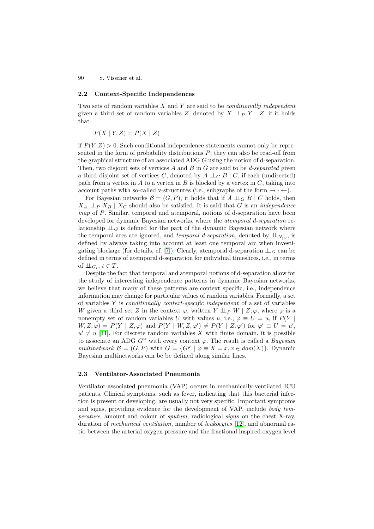#### **2.2 Context-Specific Independences**

Two sets of random variables  $X$  and  $Y$  are said to be *conditionally independent* given a third set of random variables Z, denoted by  $X \perp \!\!\!\perp_P Y \mid Z$ , if it holds that

$$
P(X \mid Y, Z) = P(X \mid Z)
$$

if  $P(Y, Z) > 0$ . Such conditional independence statements cannot only be represented in the form of probability distributions  $P$ ; they can also be read-off from the graphical structure of an associated ADG G using the notion of d-separation. Then, two disjoint sets of vertices  $A$  and  $B$  in  $G$  are said to be *d-separated* given a third disjoint set of vertices C, denoted by  $A \perp \!\!\!\perp_G B \mid C$ , if each (undirected) path from a vertex in  $A$  to a vertex in  $B$  is blocked by a vertex in  $C$ , taking into account paths with so-called v-structures (i.e., subgraphs of the form  $\rightarrow \cdot \leftarrow$ ).

For Bayesian networks  $\mathcal{B} = (G, P)$ , it holds that if  $A \perp \!\!\!\perp_G B \mid C$  holds, then  $X_A \perp \!\!\!\perp_P X_B \mid X_C$  should also be satisfied. It is said that G is an *independence* map of P. Similar, temporal and atemporal, notions of d-separation have been developed for dynamic Bayesian networks, where the *atemporal d-separation* relationship  $\perp\!\!\!\perp_G$  is defined for the part of the dynamic Bayesian network where the temporal arcs are ignored, and temporal d-separation, denoted by  $\perp\!\!\!\perp_{N_{\text{LO}}},$  is defined by always taking into account at least one temporal arc when investigating blockage (for details, cf. [7]). Clearly, atemporal d-separation  $\perp \!\!\! \perp_G$  can be defined in terms of atemporal d-separation for individual timeslices, i.e., in terms of  $\perp\!\!\!\perp_{G_t}, t \in T$ .

Despite the fact that temporal and atemporal notions of d-separation allow for the study of interesting indepe[nd](#page-9-2)ence patterns in dynamic Bayesian networks, we believe that many of these patterns are context specific, i.e., independence information may change for particular values of random variables. Formally, a set of variables  $Y$  is *conditionally context-specific independent* of a set of variables W given a third set Z in the context  $\varphi$ , written Y  $\perp\!\!\!\perp_P W \mid Z; \varphi$ , where  $\varphi$  is a nonempty set of random variables U with values u, i.e.,  $\varphi \equiv U = u$ , if  $P(Y |$  $W, Z, \varphi$  =  $P(Y | Z, \varphi)$  and  $P(Y | W, Z, \varphi') \neq P(Y | Z, \varphi')$  for  $\varphi' \equiv U = u'$ ,  $u' \neq u$  [11]. For discrete random variables X with finite domain, it is possible to associate an ADG  $G^{\varphi}$  with every context  $\varphi$ . The result is called a *Bayesian* multinetwork  $\mathcal{B} = (G, P)$  with  $G = \{G^{\varphi} \mid \varphi \equiv X = x, x \in dom(X)\}\)$ . Dynamic Bayesian multinetworks can be be defined along similar lines.

#### **2.3 Ventilator-Associated Pneumonia**

Ventilator-associated pneumonia (VAP) occurs in mechanically-ventilated ICU patients. Clinical symptoms, such as fever, indicating that this bacterial infection is present or developing, are usually not very specific. Important symptoms and signs, providing evidence for the development of VAP, include *body tem*perature, amount and colour of sputum, radiological signs on the chest X-ray, duration of mechanical ventilation, number of leukocytes [12], and abnormal ratio between the arterial oxygen pressure and the fractional inspired oxygen level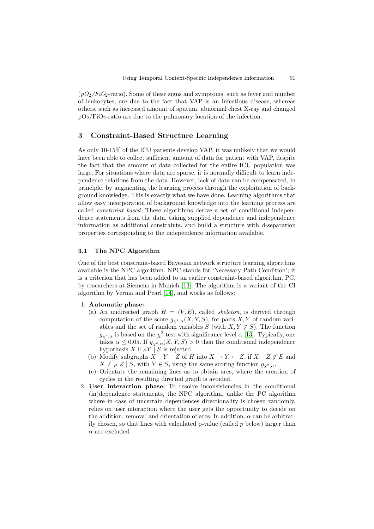$(pO_2/FiO_2\text{-ratio})$ . Some of these signs and symptoms, such as fever and number of leukocytes, are due to the fact that VAP is an infectious disease, whereas others, such as increased amount of sputum, abnormal chest X-ray and changed  $pO_2/FiO_2$ -ratio are due to the pulmonary location of the infection.

# **3 Constraint-Based Structure Learning**

<span id="page-4-0"></span>As only 10-15% of the ICU patients develop VAP, it was unlikely that we would have been able to collect sufficient amount of data for patient with VAP, despite the fact that the amount of data collected for the entire ICU population was large. For situations where data are sparse, it is normally difficult to learn independence relations from the data. However, lack of data can be compensated, in principle, by augmenting the learning process through the exploitation of background knowledge. This is exactly what we have done. Learning algorithms that allow easy incorporation of background knowledge into the learning process are called constraint based. These algorithms derive a set of conditional independence statements from the data, taking supplied dependence and independence information as additional constraints, and build a structure with d-separation properties corresponding to the independence information available.

## **3.1 The NPC Algorithm**

One of the best constraint-based Bayesian network structure learning algorithms available is the NPC algorithm. NPC stands for 'Necessary Path Condition'; it is a criterion that has been added to an earlier constraint-based algorithm, PC, by researchers at Siemens in Munich [13]. The algorithm is a variant of the CI algorithm by Verma and Pearl [14], and works as follows:

#### 1. **Automatic phase:**

- (a) An undirected graph  $H = (V, E)$ , called *skeleton*, is derived through computation of the score  $g_{\chi^2,\alpha}(X,Y,S)$  $g_{\chi^2,\alpha}(X,Y,S)$  $g_{\chi^2,\alpha}(X,Y,S)$ , for pairs  $X,Y$  of random variables and the set of ra[ndom](#page-9-7) variables S (with  $X, Y \notin S$ ). The function  $g_{\chi^2,\alpha}$  is based on the  $\chi^2$  test with significance level  $\alpha$  [13]. Typically, one takes  $\alpha \leq 0.05$ . If  $g_{\chi^2,\alpha}(X,Y,S) > 0$  then the conditional independence hypothesis  $X \perp\!\!\!\perp_P Y \mid S$  is rejected.
- (b) Modify subgraphs  $X Y Z$  of H into  $X \to Y \leftarrow Z$ , if  $X Z \notin E$  and  $X \perp \!\!\!\perp_P Z \mid S$ , with  $Y \in S$ , using the same scoring fu[nctio](#page-9-6)n  $q_{\gamma^2}$   $_{\alpha}$ .
- (c) Orientate the remaining lines as to obtain arcs, where the creation of cycles in the resulting directed graph is avoided.
- 2. **User interaction phase:** To resolve inconsistencies in the conditional (in)dependence statements, the NPC algorithm, unlike the PC algorithm where in case of uncertain dependences directionality is chosen randomly, relies on user interaction where the user gets the opportunity to decide on the addition, removal and orientation of arcs. In addition,  $\alpha$  can be arbitrarily chosen, so that lines with calculated p-value (called  $p$  below) larger than  $\alpha$  are excluded.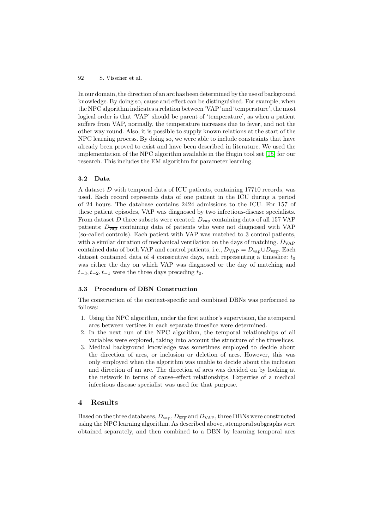In our domain, the direction of an archas been determined by the use of background knowledge. By doing so, cause and effect can be distinguished. For example, when the NPC algorithmindicates a relation between 'VAP'and 'temperature', the most logical order is that 'VAP' should be parent of 'temperature', as when a patient suffers from VAP, normally, the temperature increases due to fever, and not the other way round. Also, it is possible to supply known relations at the start of the NPC learning process. By doing so, we were able to include constraints that have already been proved to exist and have been described in literature. We used the implementation of the NPC algorithm available in the Hugin tool set [15] for our research. This includes the EM algorithm for parameter learning.

#### **3.2 Data**

A dataset D with temporal data of ICU patients, containing 17710 r[ecor](#page-9-8)ds, was used. Each record represents data of one patient in the ICU during a period of 24 hours. The database contains 2424 admissions to the ICU. For 157 of these patient episodes, VAP was diagnosed by two infectious-disease specialists. From dataset D three subsets were created:  $D_{\text{vap}}$  containing data of all 157 VAP patients;  $D_{\overline{vap}}$  containing data of patients who were not diagnosed with VAP (so-called controls). Each patient with VAP was matched to 3 control patients, with a similar duration of mechanical ventilation on the days of matching.  $D_{VAP}$ contained data of both VAP and control patients, i.e.,  $D_{\text{VAP}} = D_{\text{van}} \cup D_{\overline{\text{van}}}$ . Each dataset contained data of 4 consecutive days, each representing a timeslice:  $t_0$ was either the day on which VAP was diagnosed or the day of matching and  $t_{-3}, t_{-2}, t_{-1}$  were the three days preceding  $t_0$ .

## **3.3 Procedure of DBN Construction**

The construction of the context-specific and combined DBNs was performed as follows:

- 1. Using the NPC algorithm, under the first author's supervision, the atemporal arcs between vertices in each separate timeslice were determined.
- 2. In the next run of the NPC algorithm, the temporal relationships of all variables were explored, taking into account the structure of the timeslices.
- 3. Medical background knowledge was sometimes employed to decide about the direction of arcs, or inclusion or deletion of arcs. However, this was only employed when the algorithm was unable to decide about the inclusion and direction of an arc. The direction of arcs was decided on by looking at the network in terms of cause–effect relationships. Expertise of a medical infectious disease specialist was used for that purpose.

## **4 Results**

Based on the three databases,  $D_{\text{vap}}$ ,  $D_{\overline{\text{vap}}}$  and  $D_{\text{VAP}}$ , three DBNs were constructed using the NPC learning algorithm. As described above, atemporal subgraphs were obtained separately, and then combined to a DBN by learning temporal arcs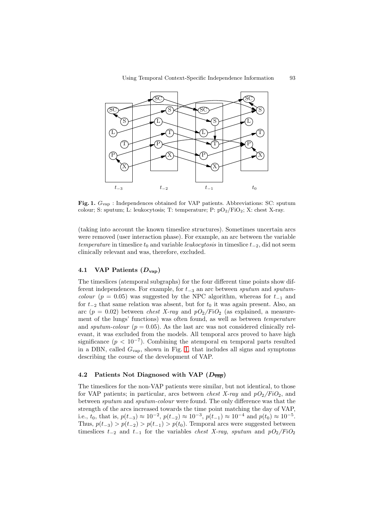

**Fig. 1.**  $G_{\text{vap}}$ : Independences obtained for VAP patients. Abbreviations: SC: sputum colour; S: sputum; L: leukocytosis; T: temperature; P:  $pO_2/FiO_2$ ; X: chest X-ray.

(taking into account the known timeslice structures). Sometimes uncertain arcs were removed (user interaction phase). For example, an arc between the variable temperature in timeslice  $t_0$  and variable leukocytosis in timeslice  $t_{-2}$ , did not seem clinically relevant and was, therefore, excluded.

## **4.1 VAP Patients (***D***vap)**

The timeslices (atemporal subgraphs) for the four different time points show different independences. For example, for  $t_{-3}$  an arc between sputum and sputum*colour* ( $p = 0.05$ ) was suggested by the NPC algorithm, whereas for  $t_{-1}$  and for  $t_{-2}$  that same relation was absent, but for  $t_0$  it was again present. Also, an arc ( $p = 0.02$ ) between *chest X-ray* and  $pO<sub>2</sub>/FiO<sub>2</sub>$  (as explained, a measurement of the lungs' functions) was often found, as well as between temperature and sputum-colour ( $p = 0.05$ ). As the last arc was not considered clinically relevant, it was excluded from the models. All temporal arcs proved to have high significance  $(p < 10^{-7})$ . Combining the atemporal en temporal parts resulted in a DBN, called  $G_{\text{vap}}$ , shown in Fig. 1, that includes all signs and symptoms describing the course of the development of VAP.

## **4.2** Patients Not Diagnosed with VAP  $(D_{\overline{vap}})$

The timeslices for the non-VAP patients were similar, but not identical, to those for VAP patients; in particular, arcs between *chest X-ray* and  $pO<sub>2</sub>/FiO<sub>2</sub>$ , and between *sputum* and *sputum-colour* were found. The only difference was that the strength of the arcs increased towards the time point matching the day of VAP, i.e.,  $t_0$ , that is,  $p(t_{-3}) \approx 10^{-2}$ ,  $p(t_{-2}) \approx 10^{-3}$ ,  $p(t_{-1}) \approx 10^{-4}$  and  $p(t_0) \approx 10^{-5}$ . Thus,  $p(t_{-3}) > p(t_{-2}) > p(t_{-1}) > p(t_0)$ . Temporal arcs were suggested between timeslices  $t_{-2}$  and  $t_{-1}$  for the variables *chest X-ray, sputum* and  $pO_2/FiO_2$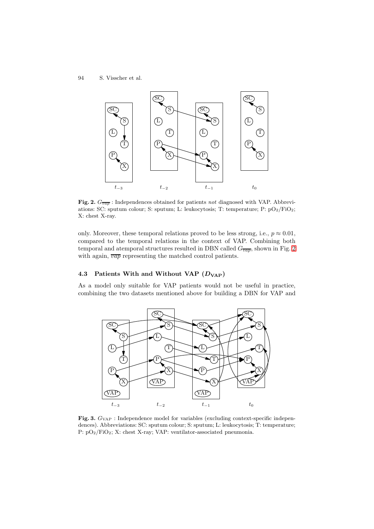

**Fig. 2.**  $G_{\overline{vap}}$ : Independences obtained for patients not diagnosed with VAP. Abbreviations: SC: sputum colour; S: sputum; L: leukocytosis; T: temperature; P:  $pO_2/FiO_2$ ; X: chest X-ray.

only. Moreover, these temporal relations proved to be less strong, i.e.,  $p \approx 0.01$ , compared to the temporal relations in the context of VAP. Combining both temporal and atemporal structures resulted in DBN called  $G_{\overline{vap}}$ , shown in Fig. 2 with again,  $\overline{vap}$  representing the matched control patients.

# 4.3 Patients With and Without VAP  $(D_{VAP})$

As a model only suitable for VAP patients would not be useful in practice, combining the two datasets mentioned above for building a DBN for VAP and



<span id="page-7-0"></span>Fig. 3.  $G<sub>VAP</sub>$ : Independence model for variables (excluding context-specific independences). Abbreviations: SC: sputum colour; S: sputum; L: leukocytosis; T: temperature; P: pO2/FiO2; X: chest X-ray; VAP: ventilator-associated pneumonia.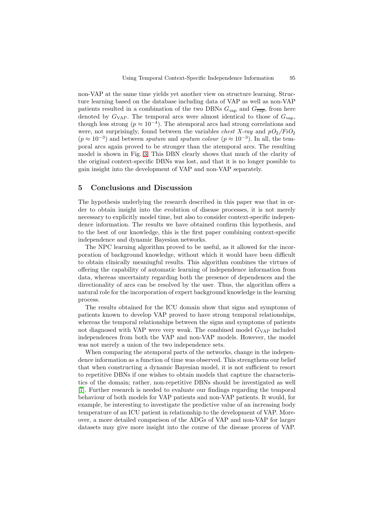non-VAP at the same time yields yet another view on structure learning. Structure learning based on the database including data of VAP as well as non-VAP patients resulted in a combination of the two DBNs  $G_{\text{vap}}$  and  $G_{\overline{vap}}$ , from here denoted by  $G_{VAP}$ . The temporal arcs were almost identical to those of  $G_{vap}$ , though less strong ( $p \approx 10^{-4}$ ). The atemporal arcs had strong correlations and were, not surprisingly, found between the variables *chest X-ray* and  $pO<sub>2</sub>/FiO<sub>2</sub>$  $(p \approx 10^{-3})$  and between sputum and sputum colour  $(p \approx 10^{-3})$ . In all, the temporal arcs again proved to be stronger than the atemporal arcs. The resulting model is shown in Fig. 3. This DBN clearly shows that much of the clarity of the original context-specific DBNs was lost, and that it is no longer possible to gain insight into the development of VAP and non-VAP separately.

## **5 Conclusions a[nd](#page-7-0) Discussion**

<span id="page-8-0"></span>The hypothesis underlying the research described in this paper was that in order to obtain insight into the evolution of disease processes, it is not merely necessary to explicitly model time, but also to consider context-specific independence information. The results we have obtained confirm this hypothesis, and to the best of our knowledge, this is the first paper combining context-specific independence and dynamic Bayesian networks.

The NPC learning algorithm proved to be useful, as it allowed for the incorporation of background knowledge, without which it would have been difficult to obtain clinically meaningful results. This algorithm combines the virtues of offering the capability of automatic learning of independence information from data, whereas uncertainty regarding both the presence of dependences and the directionality of arcs can be resolved by the user. Thus, the algorithm offers a natural role for the incorporation of expert background knowledge in the learning process.

The results obtained for the ICU domain show that signs and symptoms of patients known to develop VAP proved to have strong temporal relationships, whereas the temporal relationships between the signs and symptoms of patients not diagnosed with VAP were very weak. The combined model  $G_{\text{VAP}}$  included independences from both the VAP and non-VAP models. However, the model was not merely a union of the two independence sets.

When comparing the atemporal parts of the networks, change in the independence information as a function of time was observed. This strengthens our belief that when constructing a dynamic Bayesian model, it is not sufficient to resort to repetitive DBNs if one wishes to obtain models that capture the characteristics of the domain; rather, non-repetitive DBNs should be investigated as well [7]. Further research is needed to evaluate our findings regarding the temporal behaviour of both models for VAP patients and non-VAP patients. It would, for example, be interesting to investigate the predictive value of an increasing body temperature of an ICU patient in relationship to the development of VAP. More[ov](#page-9-2)er, a more detailed comparison of the ADGs of VAP and non-VAP for larger datasets may give more insight into the course of the disease process of VAP.